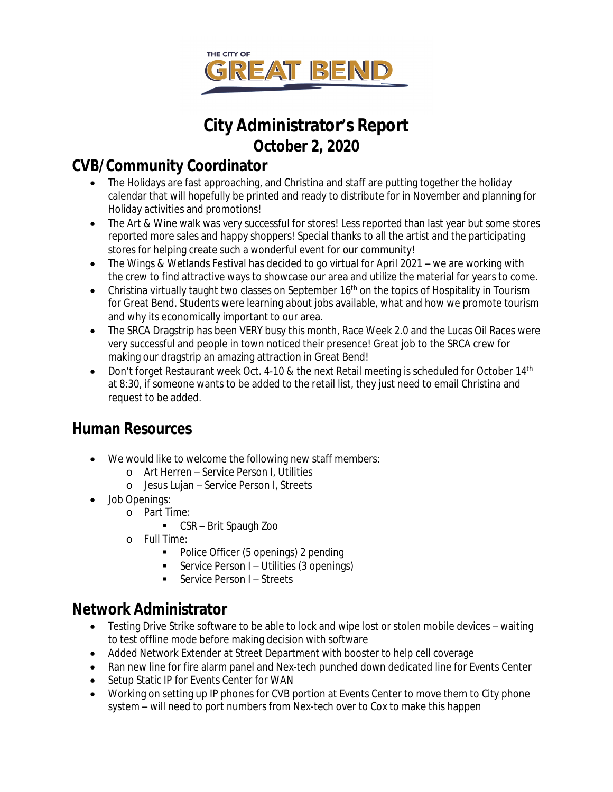

## **City Administrator's Report October 2, 2020**

### **CVB/Community Coordinator**

- The Holidays are fast approaching, and Christina and staff are putting together the holiday calendar that will hopefully be printed and ready to distribute for in November and planning for Holiday activities and promotions!
- The Art & Wine walk was very successful for stores! Less reported than last year but some stores reported more sales and happy shoppers! Special thanks to all the artist and the participating stores for helping create such a wonderful event for our community!
- The Wings & Wetlands Festival has decided to go virtual for April 2021 we are working with the crew to find attractive ways to showcase our area and utilize the material for years to come.
- Christina virtually taught two classes on September 16<sup>th</sup> on the topics of Hospitality in Tourism for Great Bend. Students were learning about jobs available, what and how we promote tourism and why its economically important to our area.
- The SRCA Dragstrip has been VERY busy this month, Race Week 2.0 and the Lucas Oil Races were very successful and people in town noticed their presence! Great job to the SRCA crew for making our dragstrip an amazing attraction in Great Bend!
- Don't forget Restaurant week Oct. 4-10 & the next Retail meeting is scheduled for October  $14<sup>th</sup>$ at 8:30, if someone wants to be added to the retail list, they just need to email Christina and request to be added.

### **Human Resources**

- We would like to welcome the following new staff members:
	- o Art Herren Service Person I, Utilities
	- o Jesus Lujan Service Person I, Streets
- Job Openings:
	- o Part Time:
		- CSR Brit Spaugh Zoo
	- o Full Time:
		- Police Officer (5 openings) 2 *pending*
		- Service Person I Utilities (3 openings)
		- Service Person I Streets

### **Network Administrator**

- Testing Drive Strike software to be able to lock and wipe lost or stolen mobile devices waiting to test offline mode before making decision with software
- Added Network Extender at Street Department with booster to help cell coverage
- Ran new line for fire alarm panel and Nex-tech punched down dedicated line for Events Center
- Setup Static IP for Events Center for WAN
- Working on setting up IP phones for CVB portion at Events Center to move them to City phone system – will need to port numbers from Nex-tech over to Cox to make this happen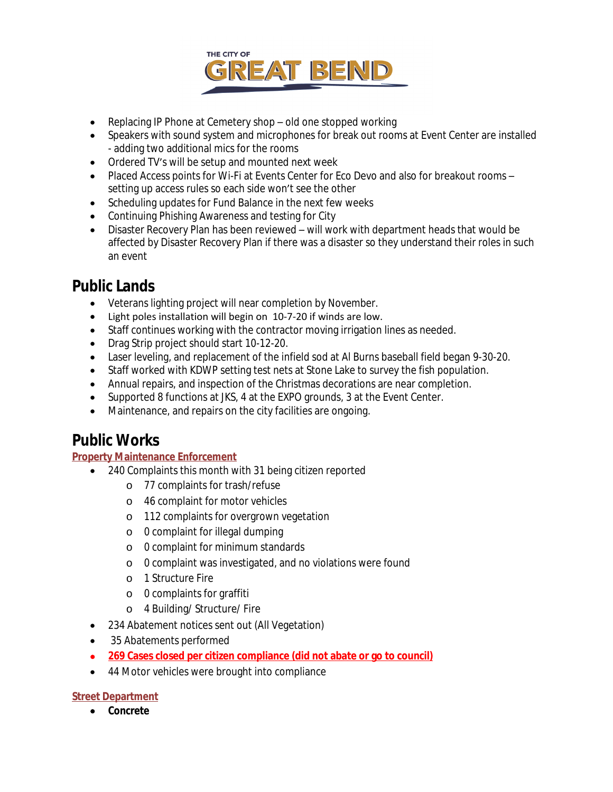

- Replacing IP Phone at Cemetery shop old one stopped working
- Speakers with sound system and microphones for break out rooms at Event Center are installed - adding two additional mics for the rooms
- Ordered TV's will be setup and mounted next week
- Placed Access points for Wi-Fi at Events Center for Eco Devo and also for breakout rooms setting up access rules so each side won't see the other
- Scheduling updates for Fund Balance in the next few weeks
- Continuing Phishing Awareness and testing for City
- Disaster Recovery Plan has been reviewed will work with department heads that would be affected by Disaster Recovery Plan if there was a disaster so they understand their roles in such an event

### **Public Lands**

- Veterans lighting project will near completion by November.
- Light poles installation will begin on 10-7-20 if winds are low.
- Staff continues working with the contractor moving irrigation lines as needed.
- Drag Strip project should start 10-12-20.
- Laser leveling, and replacement of the infield sod at Al Burns baseball field began 9-30-20.
- Staff worked with KDWP setting test nets at Stone Lake to survey the fish population.
- Annual repairs, and inspection of the Christmas decorations are near completion.
- Supported 8 functions at JKS, 4 at the EXPO grounds, 3 at the Event Center.
- Maintenance, and repairs on the city facilities are ongoing.

### **Public Works**

### **Property Maintenance Enforcement**

- 240 Complaints this month with 31 being citizen reported
	- o 77 complaints for trash/refuse
	- o 46 complaint for motor vehicles
	- o 112 complaints for overgrown vegetation
	- o 0 complaint for illegal dumping
	- o 0 complaint for minimum standards
	- o 0 complaint was investigated, and no violations were found
	- o 1 Structure Fire
	- o 0 complaints for graffiti
	- o 4 Building/ Structure/ Fire
- 234 Abatement notices sent out (All Vegetation)
- 35 Abatements performed
- **269 Cases closed per citizen compliance (did not abate or go to council)**
- 44 Motor vehicles were brought into compliance

### **Street Department**

**Concrete**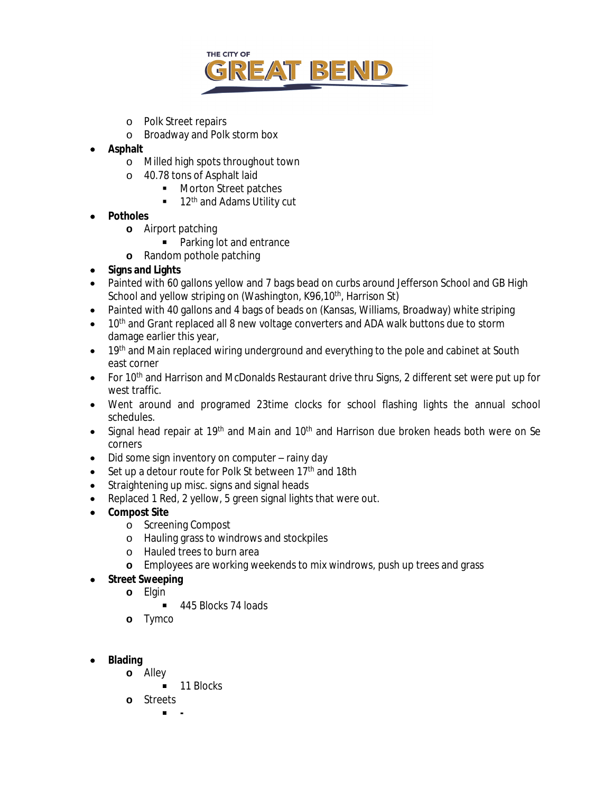

- o Polk Street repairs
- o Broadway and Polk storm box
- **Asphalt**
	- o Milled high spots throughout town
	- o 40.78 tons of Asphalt laid
		- **Morton Street patches**
		- $\blacksquare$  12<sup>th</sup> and Adams Utility cut
- **Potholes**
	- **o** Airport patching
		- Parking lot and entrance
	- **o** Random pothole patching
- **Signs and Lights**
- Painted with 60 gallons yellow and 7 bags bead on curbs around Jefferson School and GB High School and yellow striping on (Washington, K96,10<sup>th</sup>, Harrison St)
- Painted with 40 gallons and 4 bags of beads on (Kansas, Williams, Broadway) white striping
- $\bullet$  10<sup>th</sup> and Grant replaced all 8 new voltage converters and ADA walk buttons due to storm damage earlier this year,
- 19th and Main replaced wiring underground and everything to the pole and cabinet at South east corner
- For  $10<sup>th</sup>$  and Harrison and McDonalds Restaurant drive thru Signs, 2 different set were put up for west traffic.
- Went around and programed 23time clocks for school flashing lights the annual school schedules.
- Signal head repair at 19<sup>th</sup> and Main and 10<sup>th</sup> and Harrison due broken heads both were on Se corners
- Did some sign inventory on computer rainy day
- $\bullet$  Set up a detour route for Polk St between 17<sup>th</sup> and 18th
- Straightening up misc. signs and signal heads
- Replaced 1 Red, 2 yellow, 5 green signal lights that were out.
- **Compost Site**
	- o Screening Compost
	- o Hauling grass to windrows and stockpiles
	- o Hauled trees to burn area
	- **o** Employees are working weekends to mix windrows, push up trees and grass
- **Street Sweeping**
	- **o** Elgin
		- 445 Blocks 74 loads
	- **o** Tymco
- **Blading**
	- **o** Alley
		- 11 Blocks
	- **o** Streets
		- **-**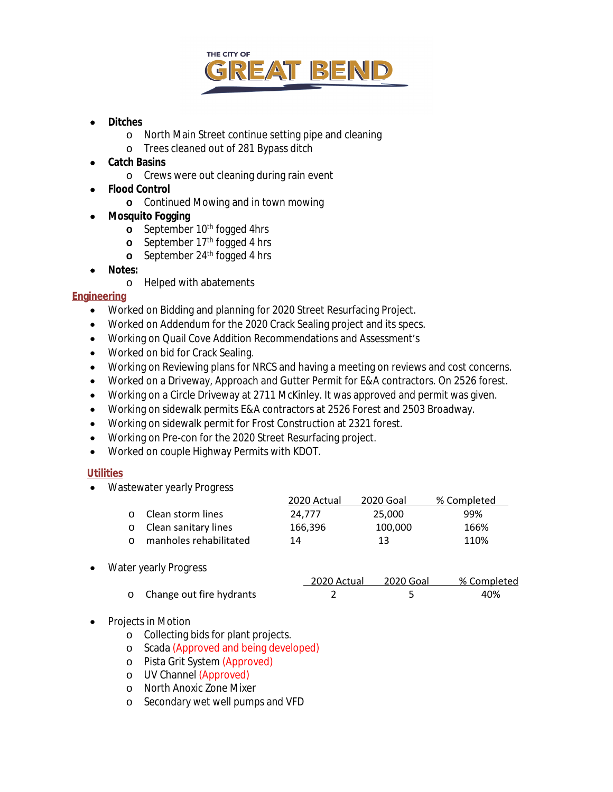

#### **Ditches**

- o North Main Street continue setting pipe and cleaning
- o Trees cleaned out of 281 Bypass ditch
- **Catch Basins**
	- o Crews were out cleaning during rain event
- **Flood Control**
	- **o** Continued Mowing and in town mowing
- **Mosquito Fogging**
	- **o** September 10<sup>th</sup> fogged 4hrs
	- **o** September 17<sup>th</sup> fogged 4 hrs
	- **o** September 24<sup>th</sup> fogged 4 hrs
- **Notes:**
	- o Helped with abatements

#### **Engineering**

- Worked on Bidding and planning for 2020 Street Resurfacing Project.
- Worked on Addendum for the 2020 Crack Sealing project and its specs.
- Working on Quail Cove Addition Recommendations and Assessment's
- Worked on bid for Crack Sealing.
- Working on Reviewing plans for NRCS and having a meeting on reviews and cost concerns.
- Worked on a Driveway, Approach and Gutter Permit for E&A contractors. On 2526 forest.
- Working on a Circle Driveway at 2711 McKinley. It was approved and permit was given.
- Working on sidewalk permits E&A contractors at 2526 Forest and 2503 Broadway.
- Working on sidewalk permit for Frost Construction at 2321 forest.
- Working on Pre-con for the 2020 Street Resurfacing project.
- Worked on couple Highway Permits with KDOT.

#### **Utilities**

• Wastewater yearly Progress

|          |                            | 2020 Actual | 2020 Goal | % Completed |
|----------|----------------------------|-------------|-----------|-------------|
|          | <b>O</b> Clean storm lines | 24.777      | 25.000    | 99%         |
|          | o Clean sanitary lines     | 166.396     | 100.000   | 166%        |
| $\Omega$ | manholes rehabilitated     | 14          | 13        | 110%        |

Water yearly Progress

|                            | 2020 Actual | 2020 Goal | % Completed |
|----------------------------|-------------|-----------|-------------|
| o Change out fire hydrants |             |           | 40%         |

- Projects in Motion
	- o Collecting bids for plant projects.
	- o Scada (Approved and being developed)
	- o Pista Grit System (Approved)
	- o UV Channel (Approved)
	- o North Anoxic Zone Mixer
	- o Secondary wet well pumps and VFD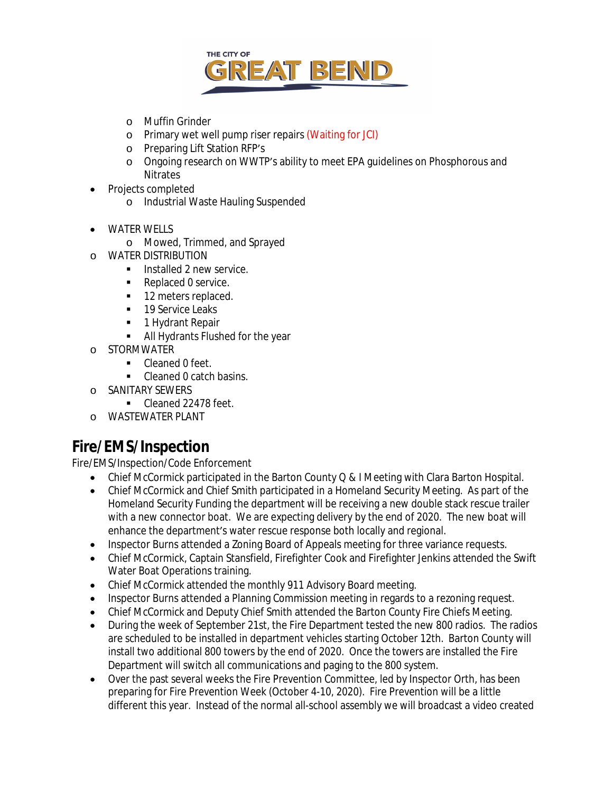

- o Muffin Grinder
- o Primary wet well pump riser repairs (Waiting for JCI)
- o Preparing Lift Station RFP's
- o Ongoing research on WWTP's ability to meet EPA guidelines on Phosphorous and Nitrates
- Projects completed
	- o Industrial Waste Hauling Suspended
- WATER WELLS
	- o Mowed, Trimmed, and Sprayed
- o WATER DISTRIBUTION
	- **Installed 2 new service.**
	- Replaced 0 service.
	- 12 meters replaced.
	- 19 Service Leaks
	- **1 Hydrant Repair**
	- All Hydrants Flushed for the year
- o STORMWATER
	- Cleaned 0 feet.
		- Cleaned 0 catch basins.
- o SANITARY SEWERS
	- Cleaned 22478 feet.
- o WASTEWATER PLANT

### **Fire/EMS/Inspection**

Fire/EMS/Inspection/Code Enforcement

- Chief McCormick participated in the Barton County Q & I Meeting with Clara Barton Hospital.
- Chief McCormick and Chief Smith participated in a Homeland Security Meeting. As part of the Homeland Security Funding the department will be receiving a new double stack rescue trailer with a new connector boat. We are expecting delivery by the end of 2020. The new boat will enhance the department's water rescue response both locally and regional.
- Inspector Burns attended a Zoning Board of Appeals meeting for three variance requests.
- Chief McCormick, Captain Stansfield, Firefighter Cook and Firefighter Jenkins attended the Swift Water Boat Operations training.
- Chief McCormick attended the monthly 911 Advisory Board meeting.
- Inspector Burns attended a Planning Commission meeting in regards to a rezoning request.
- Chief McCormick and Deputy Chief Smith attended the Barton County Fire Chiefs Meeting.
- During the week of September 21st, the Fire Department tested the new 800 radios. The radios are scheduled to be installed in department vehicles starting October 12th. Barton County will install two additional 800 towers by the end of 2020. Once the towers are installed the Fire Department will switch all communications and paging to the 800 system.
- Over the past several weeks the Fire Prevention Committee, led by Inspector Orth, has been preparing for Fire Prevention Week (October 4-10, 2020). Fire Prevention will be a little different this year. Instead of the normal all-school assembly we will broadcast a video created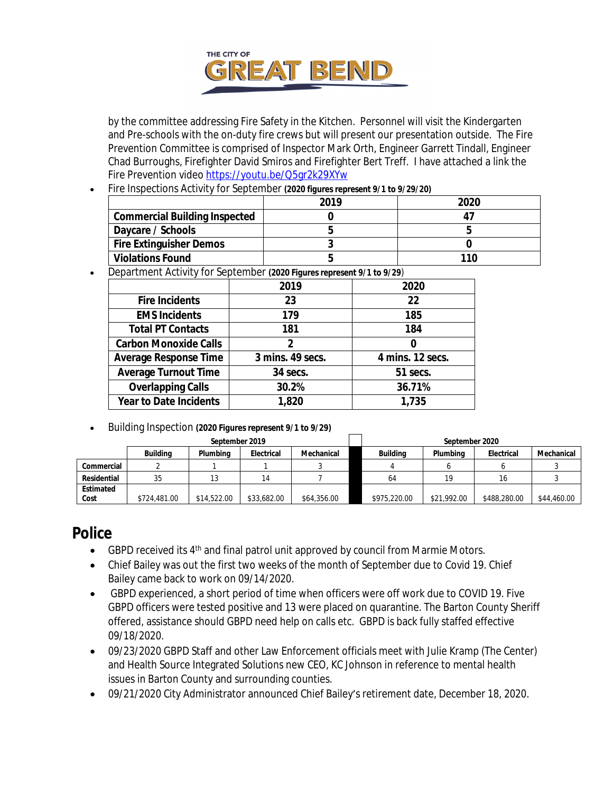

by the committee addressing Fire Safety in the Kitchen. Personnel will visit the Kindergarten and Pre-schools with the on-duty fire crews but will present our presentation outside. The Fire Prevention Committee is comprised of Inspector Mark Orth, Engineer Garrett Tindall, Engineer Chad Burroughs, Firefighter David Smiros and Firefighter Bert Treff. I have attached a link the Fire Prevention video <https://youtu.be/Q5gr2k29XYw>

Fire Inspections Activity for September *(2020 figures represent 9/1 to 9/29/20)*

|                                      | 2019 | 2020 |
|--------------------------------------|------|------|
| <b>Commercial Building Inspected</b> |      |      |
| Daycare / Schools                    |      |      |
| <b>Fire Extinguisher Demos</b>       |      |      |
| <b>Violations Found</b>              |      | 110  |

Department Activity for September *(2020 Figures represent 9/1 to 9/29)*

|                               | 2019             | 2020             |
|-------------------------------|------------------|------------------|
| <b>Fire Incidents</b>         | 23               | 22               |
| <b>EMS Incidents</b>          | 179              | 185              |
| <b>Total PT Contacts</b>      | 181              | 184              |
| <b>Carbon Monoxide Calls</b>  | 2                |                  |
| <b>Average Response Time</b>  | 3 mins. 49 secs. | 4 mins. 12 secs. |
| <b>Average Turnout Time</b>   | 34 secs.         | 51 secs.         |
| <b>Overlapping Calls</b>      | 30.2%            | 36.71%           |
| <b>Year to Date Incidents</b> | 1,820            | 1,735            |

Building Inspection *(2020 Figures represent 9/1 to 9/29)*

|             |                 | September 2019 |             |             | September 2020 |             |              |             |  |  |  |
|-------------|-----------------|----------------|-------------|-------------|----------------|-------------|--------------|-------------|--|--|--|
|             | <b>Building</b> | Plumbina       | Electrical  | Mechanical  | Buildina       | Plumbina    | Electrical   | Mechanical  |  |  |  |
| Commercial  |                 |                |             |             |                |             |              |             |  |  |  |
| Residential | 35              |                | 14          |             | 64             | 10          | 16           |             |  |  |  |
| Estimated   |                 |                |             |             |                |             |              |             |  |  |  |
| Cost        | \$724,481.00    | \$14,522.00    | \$33,682.00 | \$64,356.00 | \$975,220.00   | \$21,992.00 | \$488,280.00 | \$44,460.00 |  |  |  |

### **Police**

- GBPD received its  $4<sup>th</sup>$  and final patrol unit approved by council from Marmie Motors.
- Chief Bailey was out the first two weeks of the month of September due to Covid 19. Chief Bailey came back to work on 09/14/2020.
- GBPD experienced, a short period of time when officers were off work due to COVID 19. Five GBPD officers were tested positive and 13 were placed on quarantine. The Barton County Sheriff offered, assistance should GBPD need help on calls etc. GBPD is back fully staffed effective 09/18/2020.
- 09/23/2020 GBPD Staff and other Law Enforcement officials meet with Julie Kramp (The Center) and Health Source Integrated Solutions new CEO, KC Johnson in reference to mental health issues in Barton County and surrounding counties.
- 09/21/2020 City Administrator announced Chief Bailey's retirement date, December 18, 2020.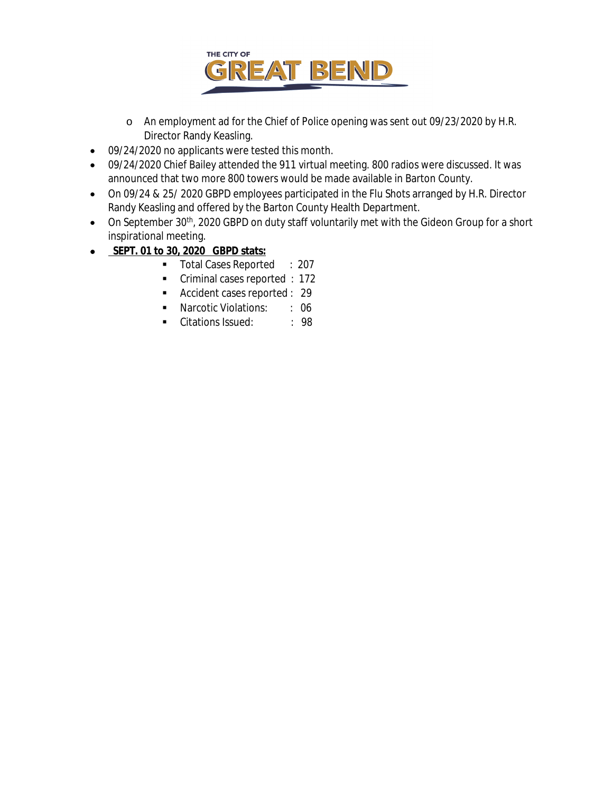

- o An employment ad for the Chief of Police opening was sent out 09/23/2020 by H.R. Director Randy Keasling.
- 09/24/2020 no applicants were tested this month.
- 09/24/2020 Chief Bailey attended the 911 virtual meeting. 800 radios were discussed. It was announced that two more 800 towers would be made available in Barton County.
- On 09/24 & 25/ 2020 GBPD employees participated in the Flu Shots arranged by H.R. Director Randy Keasling and offered by the Barton County Health Department.
- On September 30<sup>th</sup>, 2020 GBPD on duty staff voluntarily met with the Gideon Group for a short inspirational meeting.
- **SEPT. 01 to 30, 2020 GBPD stats:**
	- Total Cases Reported : 207
	- **Criminal cases reported : 172**
	- Accident cases reported : 29
	- **Narcotic Violations:** : 06
	- Citations Issued: : 98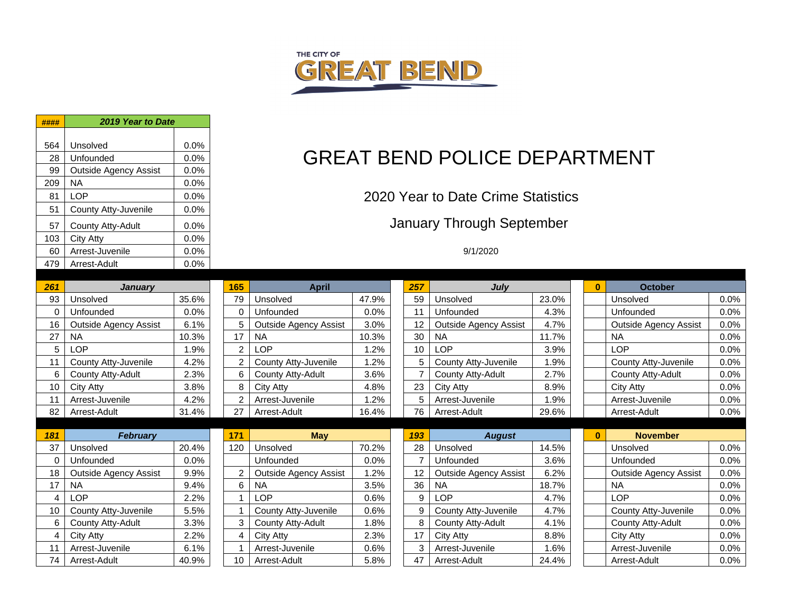

| ####           | 2019 Year to Date            |         |                       |                              |       |  |                |                         |  |  |  |
|----------------|------------------------------|---------|-----------------------|------------------------------|-------|--|----------------|-------------------------|--|--|--|
| 564            | Unsolved                     | 0.0%    |                       |                              |       |  |                |                         |  |  |  |
| 28             | Unfounded                    | 0.0%    |                       |                              |       |  |                | <b>GREAT BEND POLIC</b> |  |  |  |
| 99             | <b>Outside Agency Assist</b> | 0.0%    |                       |                              |       |  |                |                         |  |  |  |
| 209            | <b>NA</b>                    | 0.0%    |                       |                              |       |  |                |                         |  |  |  |
| 81             | <b>LOP</b>                   | 0.0%    |                       |                              |       |  |                |                         |  |  |  |
| 51             | County Atty-Juvenile         | 0.0%    | 2020 Year to Date Cri |                              |       |  |                |                         |  |  |  |
|                |                              |         |                       |                              |       |  |                |                         |  |  |  |
| 57             | County Atty-Adult            | 0.0%    |                       | January Through              |       |  |                |                         |  |  |  |
| 103            | <b>City Atty</b>             | 0.0%    |                       |                              |       |  |                |                         |  |  |  |
| 60             | Arrest-Juvenile              | 0.0%    |                       |                              |       |  |                | 9/1/2020                |  |  |  |
| 479            | Arrest-Adult                 | 0.0%    |                       |                              |       |  |                |                         |  |  |  |
| 261            | <b>January</b>               |         | 165                   | <b>April</b>                 |       |  | 257            | Jı                      |  |  |  |
| 93             | Unsolved                     | 35.6%   | 79                    | Unsolved                     | 47.9% |  | 59             | Unsolved                |  |  |  |
| $\Omega$       | Unfounded                    | 0.0%    | $\mathbf 0$           | Unfounded                    | 0.0%  |  | 11             | Unfounded               |  |  |  |
| 16             | <b>Outside Agency Assist</b> | 6.1%    | 5                     | <b>Outside Agency Assist</b> | 3.0%  |  | 12             | <b>Outside Agency</b>   |  |  |  |
| 27             | <b>NA</b>                    | 10.3%   | 17                    | <b>NA</b>                    | 10.3% |  | 30             | <b>NA</b>               |  |  |  |
| 5              | <b>LOP</b>                   | 1.9%    | $\overline{2}$        | <b>LOP</b>                   | 1.2%  |  | 10             | <b>LOP</b>              |  |  |  |
| 11             | County Atty-Juvenile         | 4.2%    | $\overline{2}$        | County Atty-Juvenile         | 1.2%  |  | 5              | County Atty-Juv         |  |  |  |
| 6              | County Atty-Adult            | 2.3%    | 6                     | <b>County Atty-Adult</b>     | 3.6%  |  | $\overline{7}$ | County Atty-Adu         |  |  |  |
| 10             | City Atty                    | 3.8%    | 8                     | <b>City Atty</b>             | 4.8%  |  | 23             | City Atty               |  |  |  |
| 11             | Arrest-Juvenile              | 4.2%    | $\overline{2}$        | Arrest-Juvenile              | 1.2%  |  | 5              | Arrest-Juvenile         |  |  |  |
| 82             | Arrest-Adult                 | 31.4%   | 27                    | Arrest-Adult                 | 16.4% |  | 76             | Arrest-Adult            |  |  |  |
|                |                              |         |                       |                              |       |  |                |                         |  |  |  |
| 181            | <b>February</b>              |         | 171                   | <b>May</b>                   |       |  | 193            | Au                      |  |  |  |
| 37             | Unsolved                     | 20.4%   | 120                   | Unsolved                     | 70.2% |  | 28             | Unsolved                |  |  |  |
| 0              | Unfounded                    | $0.0\%$ |                       | Unfounded                    | 0.0%  |  | $\overline{7}$ | Unfounded               |  |  |  |
| 18             | <b>Outside Agency Assist</b> | 9.9%    | $\overline{2}$        | <b>Outside Agency Assist</b> | 1.2%  |  | 12             | <b>Outside Agency</b>   |  |  |  |
| 17             | <b>NA</b>                    | 9.4%    | 6                     | <b>NA</b>                    | 3.5%  |  | 36             | <b>NA</b>               |  |  |  |
| $\overline{4}$ | LOP                          | 2.2%    | 1                     | <b>LOP</b>                   | 0.6%  |  | 9              | <b>LOP</b>              |  |  |  |
| 10             | <b>County Atty-Juvenile</b>  | 5.5%    | 1                     | County Atty-Juvenile         | 0.6%  |  | 9              | County Atty-Juv         |  |  |  |
| 6              | County Atty-Adult            | 3.3%    | 3                     | <b>County Atty-Adult</b>     | 1.8%  |  | 8              | County Atty-Adu         |  |  |  |
| $\overline{4}$ | City Atty                    | 2.2%    | $\overline{4}$        | <b>City Atty</b>             | 2.3%  |  | 17             | <b>City Atty</b>        |  |  |  |
| 11             | Arrest-Juvenile              | 6.1%    | $\mathbf{1}$          | Arrest-Juvenile              | 0.6%  |  | 3              | Arrest-Juvenile         |  |  |  |
| 74             | Arrest-Adult                 | 40.9%   | 10                    | Arrest-Adult                 | 5.8%  |  | 47             | Arrest-Adult            |  |  |  |

# **GREAT BEND POLICE DEPARTMENT**

### 2020 Year to Date Crime Statistics

### January Through September

| 261 | <b>January</b>               |       | 165            | <b>April</b>                 |         | 257            | July                         |       | 0        | <b>October</b>               |      |
|-----|------------------------------|-------|----------------|------------------------------|---------|----------------|------------------------------|-------|----------|------------------------------|------|
| 93  | Unsolved                     | 35.6% | 79             | Unsolved                     | 47.9%   | 59             | Unsolved                     | 23.0% |          | Unsolved                     | 0.0% |
|     | Unfounded                    | 0.0%  | $\Omega$       | Unfounded                    | 0.0%    | 11             | Unfounded                    | 4.3%  |          | Unfounded                    | 0.0% |
| 16  | <b>Outside Agency Assist</b> | 6.1%  | 5              | <b>Outside Agency Assist</b> | 3.0%    | 12             | <b>Outside Agency Assist</b> | 4.7%  |          | <b>Outside Agency Assist</b> | 0.0% |
| 27  | <b>NA</b>                    | 10.3% | 17             | <b>NA</b>                    | 10.3%   | 30             | <b>NA</b>                    | 11.7% |          | <b>NA</b>                    | 0.0% |
| 5   | _OP                          | l.9%  | $\overline{2}$ | LOP                          | 1.2%    | 10             | <b>LOP</b>                   | 3.9%  |          | LOP                          | 0.0% |
| 11  | County Atty-Juvenile         | 4.2%  | 2              | County Atty-Juvenile         | 1.2%    | 5              | County Atty-Juvenile         | 1.9%  |          | County Atty-Juvenile         | 0.0% |
| 6   | County Atty-Adult            | 2.3%  | 6              | County Atty-Adult            | 3.6%    | $\overline{7}$ | County Atty-Adult            | 2.7%  |          | County Atty-Adult            | 0.0% |
| 10  | <b>City Atty</b>             | 3.8%  | 8              | City Atty                    | 4.8%    | 23             | City Atty                    | 8.9%  |          | City Atty                    | 0.0% |
| 11  | Arrest-Juvenile              | 4.2%  | 2              | Arrest-Juvenile              | 1.2%    | 5              | Arrest-Juvenile              | 1.9%  |          | Arrest-Juvenile              | 0.0% |
| 82  | Arrest-Adult                 | 31.4% | 27             | Arrest-Adult                 | 16.4%   | 76             | Arrest-Adult                 | 29.6% |          | Arrest-Adult                 | 0.0% |
|     |                              |       |                |                              |         |                |                              |       |          |                              |      |
| 181 | <b>February</b>              |       | 171            | <b>May</b>                   |         |                |                              |       |          |                              |      |
|     |                              |       |                |                              |         | 193            | <b>August</b>                |       | $\bf{0}$ | <b>November</b>              |      |
| 37  | Unsolved                     | 20.4% | 120            | Unsolved                     | 70.2%   | 28             | Unsolved                     | 14.5% |          | Unsolved                     | 0.0% |
|     | Unfounded                    | 0.0%  |                | Unfounded                    | 0.0%    | $\overline{7}$ | Unfounded                    | 3.6%  |          | Unfounded                    | 0.0% |
| 18  | <b>Outside Agency Assist</b> | 9.9%  | 2              | <b>Outside Agency Assist</b> | $1.2\%$ | 12             | <b>Outside Agency Assist</b> | 6.2%  |          | <b>Outside Agency Assist</b> | 0.0% |
| 17  | <b>NA</b>                    | 9.4%  | 6              | <b>NA</b>                    | 3.5%    | 36             | <b>NA</b>                    | 18.7% |          | <b>NA</b>                    | 0.0% |
|     | LOP                          | 2.2%  |                | <b>LOP</b>                   | 0.6%    | 9              | <b>LOP</b>                   | 4.7%  |          | <b>LOP</b>                   | 0.0% |
| 10  | County Atty-Juvenile         | 5.5%  |                | County Atty-Juvenile         | 0.6%    | 9              | County Atty-Juvenile         | 4.7%  |          | County Atty-Juvenile         | 0.0% |
| 6   | County Atty-Adult            | 3.3%  | 3              | County Atty-Adult            | 1.8%    | 8              | County Atty-Adult            | 4.1%  |          | County Atty-Adult            | 0.0% |
| 4   | City Atty                    | 2.2%  | 4              | City Atty                    | 2.3%    | 17             | <b>City Atty</b>             | 8.8%  |          | City Atty                    | 0.0% |
| 11  | Arrest-Juvenile              | 6.1%  |                | Arrest-Juvenile              | 0.6%    | 3              | Arrest-Juvenile              | 1.6%  |          | Arrest-Juvenile              | 0.0% |